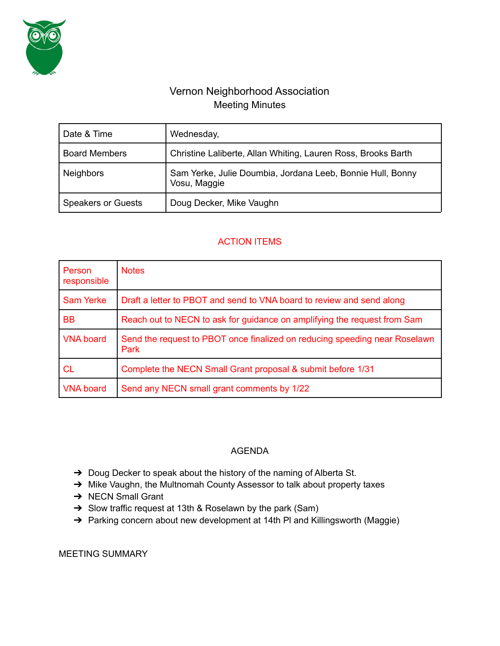

## Vernon Neighborhood Association Meeting Minutes

| Date & Time               | Wednesday,                                                                 |
|---------------------------|----------------------------------------------------------------------------|
| <b>Board Members</b>      | Christine Laliberte, Allan Whiting, Lauren Ross, Brooks Barth              |
| <b>Neighbors</b>          | Sam Yerke, Julie Doumbia, Jordana Leeb, Bonnie Hull, Bonny<br>Vosu, Maggie |
| <b>Speakers or Guests</b> | Doug Decker, Mike Vaughn                                                   |

## ACTION ITEMS

| Person<br>responsible | <b>Notes</b>                                                                       |
|-----------------------|------------------------------------------------------------------------------------|
| <b>Sam Yerke</b>      | Draft a letter to PBOT and send to VNA board to review and send along              |
| <b>BB</b>             | Reach out to NECN to ask for guidance on amplifying the request from Sam           |
| <b>VNA board</b>      | Send the request to PBOT once finalized on reducing speeding near Roselawn<br>Park |
| CL.                   | Complete the NECN Small Grant proposal & submit before 1/31                        |
| <b>VNA board</b>      | Send any NECN small grant comments by 1/22                                         |

## AGENDA

- → Doug Decker to speak about the history of the naming of Alberta St.
- → Mike Vaughn, the Multnomah County Assessor to talk about property taxes
- → NECN Small Grant
- ➔ Slow traffic request at 13th & Roselawn by the park (Sam)
- → Parking concern about new development at 14th PI and Killingsworth (Maggie)

MEETING SUMMARY